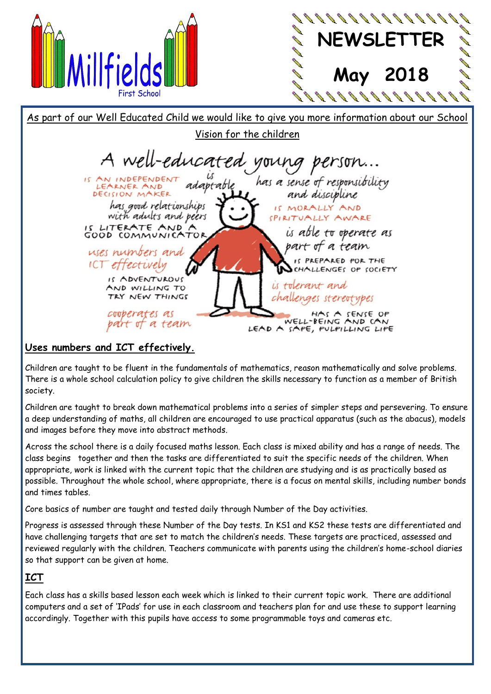



As part of our Well Educated Child we would like to give you more information about our School Vision for the children A well-educated young person... is<br>adaptable IS AN INDEPENDENT has a sense of responsibility DECISION MAKER and discipline has good relationships IS MORALLY AND with adults and peers SPIRITUALLY AWARE IS LITERATE AND'A is able to operate as part of a team uses numbers and IS PREPARED FOR THE ICT effectively CHALLENGES OP SOCIETY IS ADVENTUROUS is tolerant and AND WILLING TO TRY NEW THINGS challenges stereotypes cooperates as HAS A SENSE OP WELL-BEING AND CAN part of a team LEAD A SAPE, PULPILLING LIPE **Uses numbers and ICT effectively.**

Children are taught to be fluent in the fundamentals of mathematics, reason mathematically and solve problems. There is a whole school calculation policy to give children the skills necessary to function as a member of British society.

Children are taught to break down mathematical problems into a series of simpler steps and persevering. To ensure a deep understanding of maths, all children are encouraged to use practical apparatus (such as the abacus), models and images before they move into abstract methods.

Across the school there is a daily focused maths lesson. Each class is mixed ability and has a range of needs. The class begins together and then the tasks are differentiated to suit the specific needs of the children. When appropriate, work is linked with the current topic that the children are studying and is as practically based as possible. Throughout the whole school, where appropriate, there is a focus on mental skills, including number bonds and times tables.

Core basics of number are taught and tested daily through Number of the Day activities.

Progress is assessed through these Number of the Day tests. In KS1 and KS2 these tests are differentiated and have challenging targets that are set to match the children's needs. These targets are practiced, assessed and reviewed regularly with the children. Teachers communicate with parents using the children's home-school diaries so that support can be given at home.

## **ICT**

Each class has a skills based lesson each week which is linked to their current topic work. There are additional computers and a set of 'IPads' for use in each classroom and teachers plan for and use these to support learning accordingly. Together with this pupils have access to some programmable toys and cameras etc.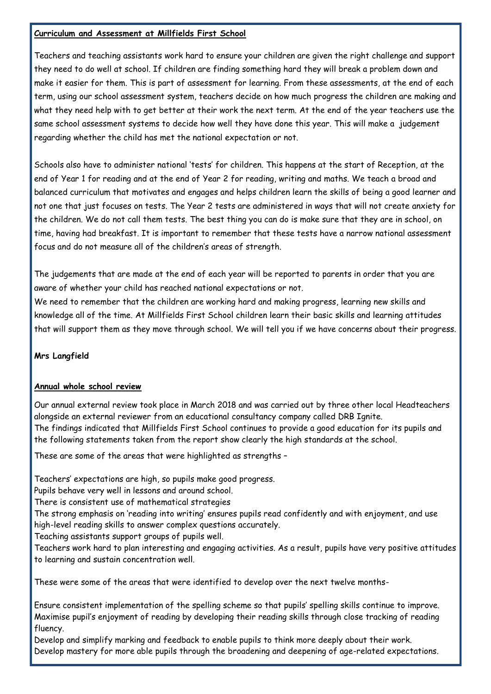#### **Curriculum and Assessment at Millfields First School**

Teachers and teaching assistants work hard to ensure your children are given the right challenge and support they need to do well at school. If children are finding something hard they will break a problem down and make it easier for them. This is part of assessment for learning. From these assessments, at the end of each term, using our school assessment system, teachers decide on how much progress the children are making and what they need help with to get better at their work the next term. At the end of the year teachers use the same school assessment systems to decide how well they have done this year. This will make a judgement regarding whether the child has met the national expectation or not.

Schools also have to administer national 'tests' for children. This happens at the start of Reception, at the end of Year 1 for reading and at the end of Year 2 for reading, writing and maths. We teach a broad and balanced curriculum that motivates and engages and helps children learn the skills of being a good learner and not one that just focuses on tests. The Year 2 tests are administered in ways that will not create anxiety for the children. We do not call them tests. The best thing you can do is make sure that they are in school, on time, having had breakfast. It is important to remember that these tests have a narrow national assessment focus and do not measure all of the children's areas of strength.

The judgements that are made at the end of each year will be reported to parents in order that you are aware of whether your child has reached national expectations or not.

We need to remember that the children are working hard and making progress, learning new skills and knowledge all of the time. At Millfields First School children learn their basic skills and learning attitudes that will support them as they move through school. We will tell you if we have concerns about their progress.

#### **Mrs Langfield**

#### **Annual whole school review**

Our annual external review took place in March 2018 and was carried out by three other local Headteachers alongside an external reviewer from an educational consultancy company called DRB Ignite. The findings indicated that Millfields First School continues to provide a good education for its pupils and the following statements taken from the report show clearly the high standards at the school.

These are some of the areas that were highlighted as strengths –

Teachers' expectations are high, so pupils make good progress.

Pupils behave very well in lessons and around school.

There is consistent use of mathematical strategies

The strong emphasis on 'reading into writing' ensures pupils read confidently and with enjoyment, and use high-level reading skills to answer complex questions accurately.

Teaching assistants support groups of pupils well.

Teachers work hard to plan interesting and engaging activities. As a result, pupils have very positive attitudes to learning and sustain concentration well.

These were some of the areas that were identified to develop over the next twelve months-

Ensure consistent implementation of the spelling scheme so that pupils' spelling skills continue to improve. Maximise pupil's enjoyment of reading by developing their reading skills through close tracking of reading fluency.

Develop and simplify marking and feedback to enable pupils to think more deeply about their work. Develop mastery for more able pupils through the broadening and deepening of age-related expectations.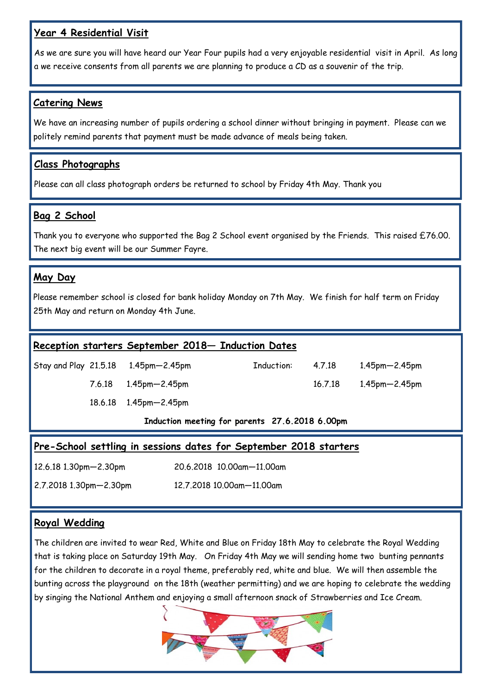#### **Year 4 Residential Visit**

As we are sure you will have heard our Year Four pupils had a very enjoyable residential visit in April. As long a we receive consents from all parents we are planning to produce a CD as a souvenir of the trip.

#### **Catering News**

We have an increasing number of pupils ordering a school dinner without bringing in payment. Please can we politely remind parents that payment must be made advance of meals being taken.

## **Class Photographs**

Please can all class photograph orders be returned to school by Friday 4th May. Thank you

#### **Bag 2 School**

Thank you to everyone who supported the Bag 2 School event organised by the Friends. This raised £76.00. The next big event will be our Summer Fayre.

## **May Day**

Please remember school is closed for bank holiday Monday on 7th May. We finish for half term on Friday 25th May and return on Monday 4th June.

#### **Reception starters September 2018— Induction Dates**

Stay and Play 21.5.18 1.45pm—2.45pm Induction: 4.7.18 1.45pm—2.45pm

18.6.18 1.45pm—2.45pm

7.6.18 1.45pm—2.45pm 16.7.18 1.45pm—2.45pm

**Induction meeting for parents 27.6.2018 6.00pm**

|  |  | Pre-School settling in sessions dates for September 2018 starters |  |
|--|--|-------------------------------------------------------------------|--|
|  |  |                                                                   |  |

12.6.18 1.30pm—2.30pm 20.6.2018 10.00am—11.00am

2.7.2018 1.30pm—2.30pm 12.7.2018 10.00am—11.00am

#### **Royal Wedding**

The children are invited to wear Red, White and Blue on Friday 18th May to celebrate the Royal Wedding that is taking place on Saturday 19th May. On Friday 4th May we will sending home two bunting pennants for the children to decorate in a royal theme, preferably red, white and blue. We will then assemble the bunting across the playground on the 18th (weather permitting) and we are hoping to celebrate the wedding by singing the National Anthem and enjoying a small afternoon snack of Strawberries and Ice Cream.

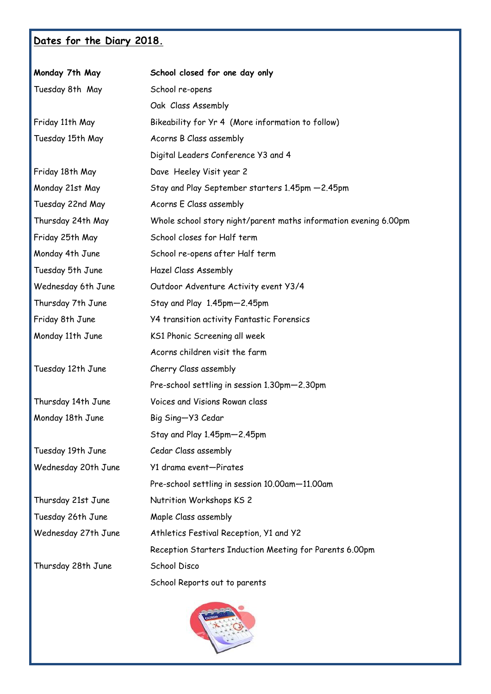# **Dates for the Diary 2018.**

| Monday 7th May      | School closed for one day only                                   |  |  |  |
|---------------------|------------------------------------------------------------------|--|--|--|
| Tuesday 8th May     | School re-opens                                                  |  |  |  |
|                     | Oak Class Assembly                                               |  |  |  |
| Friday 11th May     | Bikeability for Yr 4 (More information to follow)                |  |  |  |
| Tuesday 15th May    | Acorns B Class assembly                                          |  |  |  |
|                     | Digital Leaders Conference Y3 and 4                              |  |  |  |
| Friday 18th May     | Dave Heeley Visit year 2                                         |  |  |  |
| Monday 21st May     | Stay and Play September starters 1.45pm -2.45pm                  |  |  |  |
| Tuesday 22nd May    | Acorns E Class assembly                                          |  |  |  |
| Thursday 24th May   | Whole school story night/parent maths information evening 6.00pm |  |  |  |
| Friday 25th May     | School closes for Half term                                      |  |  |  |
| Monday 4th June     | School re-opens after Half term                                  |  |  |  |
| Tuesday 5th June    | Hazel Class Assembly                                             |  |  |  |
| Wednesday 6th June  | Outdoor Adventure Activity event Y3/4                            |  |  |  |
| Thursday 7th June   | Stay and Play 1.45pm-2.45pm                                      |  |  |  |
| Friday 8th June     | <b>Y4 transition activity Fantastic Forensics</b>                |  |  |  |
| Monday 11th June    | KS1 Phonic Screening all week                                    |  |  |  |
|                     | Acorns children visit the farm                                   |  |  |  |
| Tuesday 12th June   | Cherry Class assembly                                            |  |  |  |
|                     | Pre-school settling in session 1.30pm-2.30pm                     |  |  |  |
| Thursday 14th June  | Voices and Visions Rowan class                                   |  |  |  |
| Monday 18th June    | Big Sing-Y3 Cedar                                                |  |  |  |
|                     | Stay and Play 1.45pm-2.45pm                                      |  |  |  |
| Tuesday 19th June   | Cedar Class assembly                                             |  |  |  |
| Wednesday 20th June | Y1 drama event-Pirates                                           |  |  |  |
|                     | Pre-school settling in session 10.00am-11.00am                   |  |  |  |
| Thursday 21st June  | Nutrition Workshops KS 2                                         |  |  |  |
| Tuesday 26th June   | Maple Class assembly                                             |  |  |  |
| Wednesday 27th June | Athletics Festival Reception, Y1 and Y2                          |  |  |  |
|                     | Reception Starters Induction Meeting for Parents 6.00pm          |  |  |  |
| Thursday 28th June  | <b>School Disco</b>                                              |  |  |  |
|                     | School Reports out to parents                                    |  |  |  |